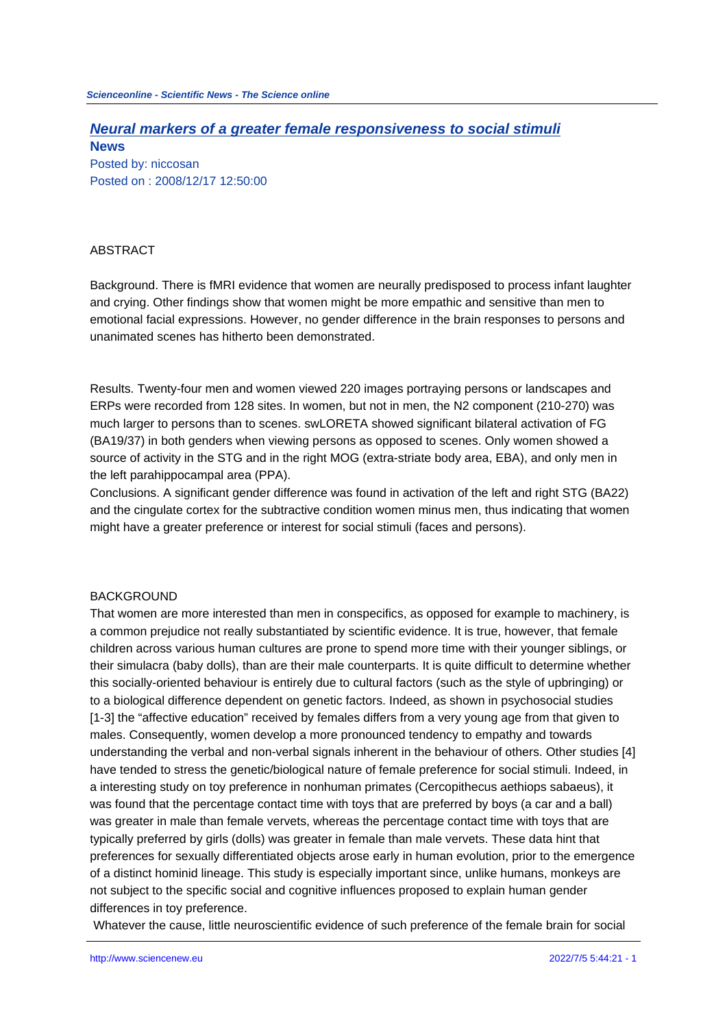# **Neural markers of a greater female responsiveness to social stimuli**

**News** Posted by: niccosan Posted on : 2008/12/17 12:50:00

#### ABSTRACT

Background. There is fMRI evidence that women are neurally predisposed to process infant laughter and crying. Other findings show that women might be more empathic and sensitive than men to emotional facial expressions. However, no gender difference in the brain responses to persons and unanimated scenes has hitherto been demonstrated.

Results. Twenty-four men and women viewed 220 images portraying persons or landscapes and ERPs were recorded from 128 sites. In women, but not in men, the N2 component (210-270) was much larger to persons than to scenes. swLORETA showed significant bilateral activation of FG (BA19/37) in both genders when viewing persons as opposed to scenes. Only women showed a source of activity in the STG and in the right MOG (extra-striate body area, EBA), and only men in the left parahippocampal area (PPA).

Conclusions. A significant gender difference was found in activation of the left and right STG (BA22) and the cingulate cortex for the subtractive condition women minus men, thus indicating that women might have a greater preference or interest for social stimuli (faces and persons).

#### BACKGROUND

That women are more interested than men in conspecifics, as opposed for example to machinery, is a common prejudice not really substantiated by scientific evidence. It is true, however, that female children across various human cultures are prone to spend more time with their younger siblings, or their simulacra (baby dolls), than are their male counterparts. It is quite difficult to determine whether this socially-oriented behaviour is entirely due to cultural factors (such as the style of upbringing) or to a biological difference dependent on genetic factors. Indeed, as shown in psychosocial studies [1-3] the "affective education" received by females differs from a very young age from that given to males. Consequently, women develop a more pronounced tendency to empathy and towards understanding the verbal and non-verbal signals inherent in the behaviour of others. Other studies [4] have tended to stress the genetic/biological nature of female preference for social stimuli. Indeed, in a interesting study on toy preference in nonhuman primates (Cercopithecus aethiops sabaeus), it was found that the percentage contact time with toys that are preferred by boys (a car and a ball) was greater in male than female vervets, whereas the percentage contact time with toys that are typically preferred by girls (dolls) was greater in female than male vervets. These data hint that preferences for sexually differentiated objects arose early in human evolution, prior to the emergence of a distinct hominid lineage. This study is especially important since, unlike humans, monkeys are not subject to the specific social and cognitive influences proposed to explain human gender differences in toy preference.

Whatever the cause, little neuroscientific evidence of such preference of the female brain for social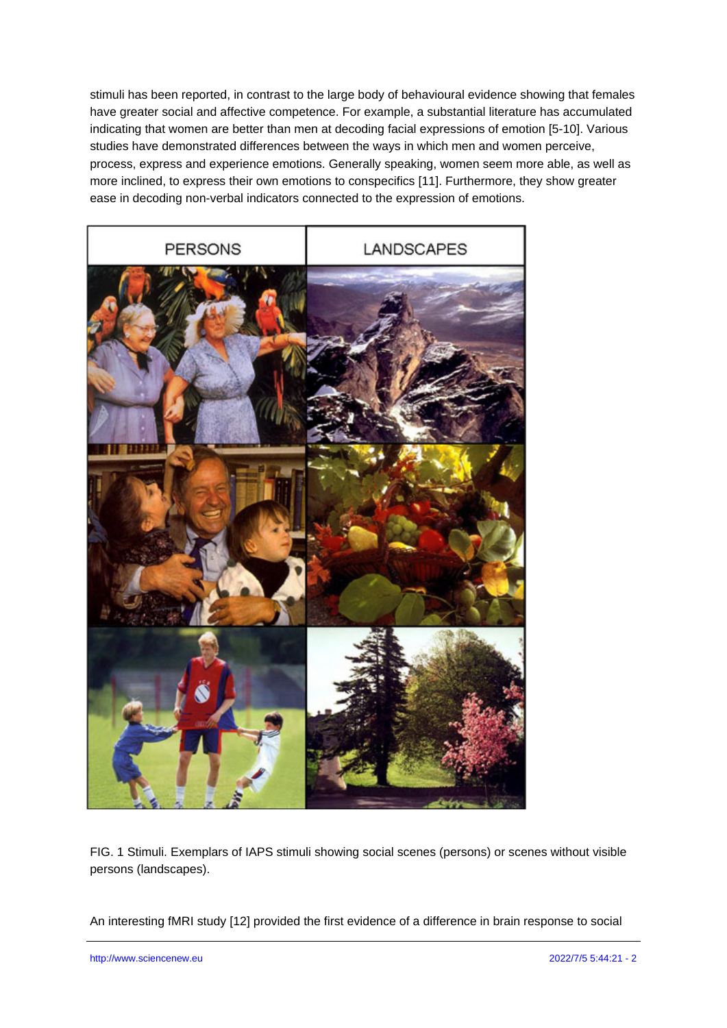stimuli has been reported, in contrast to the large body of behavioural evidence showing that females have greater social and affective competence. For example, a substantial literature has accumulated indicating that women are better than men at decoding facial expressions of emotion [5-10]. Various studies have demonstrated differences between the ways in which men and women perceive, process, express and experience emotions. Generally speaking, women seem more able, as well as more inclined, to express their own emotions to conspecifics [11]. Furthermore, they show greater ease in decoding non-verbal indicators connected to the expression of emotions.



FIG. 1 Stimuli. Exemplars of IAPS stimuli showing social scenes (persons) or scenes without visible persons (landscapes).

An interesting fMRI study [12] provided the first evidence of a difference in brain response to social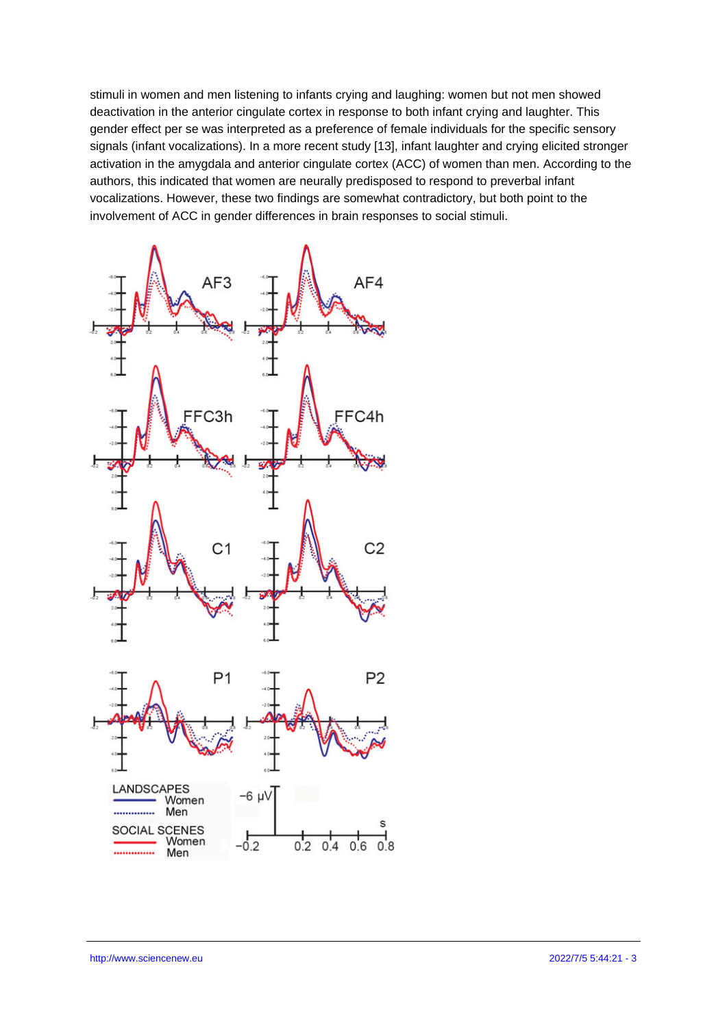stimuli in women and men listening to infants crying and laughing: women but not men showed deactivation in the anterior cingulate cortex in response to both infant crying and laughter. This gender effect per se was interpreted as a preference of female individuals for the specific sensory signals (infant vocalizations). In a more recent study [13], infant laughter and crying elicited stronger activation in the amygdala and anterior cingulate cortex (ACC) of women than men. According to the authors, this indicated that women are neurally predisposed to respond to preverbal infant vocalizations. However, these two findings are somewhat contradictory, but both point to the involvement of ACC in gender differences in brain responses to social stimuli.

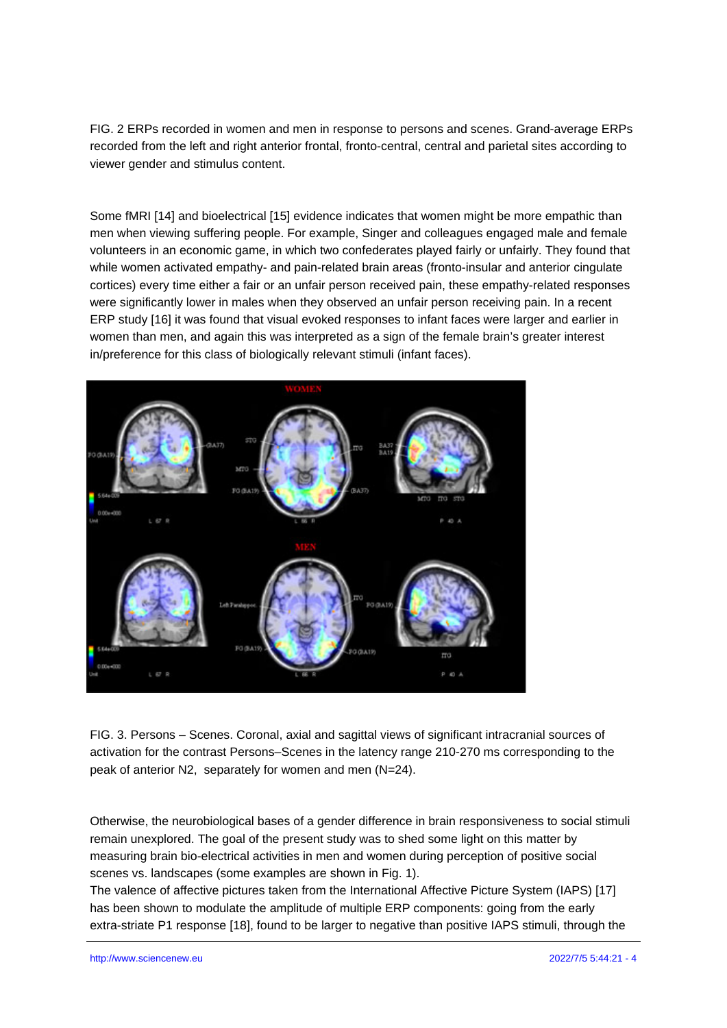FIG. 2 ERPs recorded in women and men in response to persons and scenes. Grand-average ERPs recorded from the left and right anterior frontal, fronto-central, central and parietal sites according to viewer gender and stimulus content.

Some fMRI [14] and bioelectrical [15] evidence indicates that women might be more empathic than men when viewing suffering people. For example, Singer and colleagues engaged male and female volunteers in an economic game, in which two confederates played fairly or unfairly. They found that while women activated empathy- and pain-related brain areas (fronto-insular and anterior cingulate cortices) every time either a fair or an unfair person received pain, these empathy-related responses were significantly lower in males when they observed an unfair person receiving pain. In a recent ERP study [16] it was found that visual evoked responses to infant faces were larger and earlier in women than men, and again this was interpreted as a sign of the female brain's greater interest in/preference for this class of biologically relevant stimuli (infant faces).



FIG. 3. Persons – Scenes. Coronal, axial and sagittal views of significant intracranial sources of activation for the contrast Persons–Scenes in the latency range 210-270 ms corresponding to the peak of anterior N2, separately for women and men (N=24).

Otherwise, the neurobiological bases of a gender difference in brain responsiveness to social stimuli remain unexplored. The goal of the present study was to shed some light on this matter by measuring brain bio-electrical activities in men and women during perception of positive social scenes vs. landscapes (some examples are shown in Fig. 1).

The valence of affective pictures taken from the International Affective Picture System (IAPS) [17] has been shown to modulate the amplitude of multiple ERP components: going from the early extra-striate P1 response [18], found to be larger to negative than positive IAPS stimuli, through the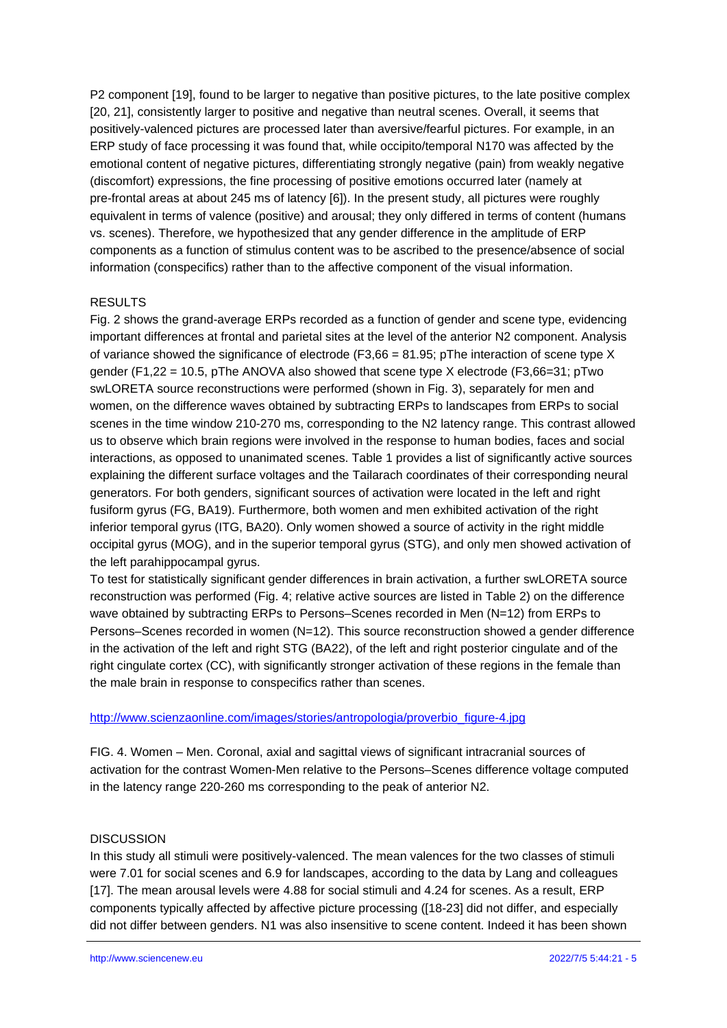P2 component [19], found to be larger to negative than positive pictures, to the late positive complex [20, 21], consistently larger to positive and negative than neutral scenes. Overall, it seems that positively-valenced pictures are processed later than aversive/fearful pictures. For example, in an ERP study of face processing it was found that, while occipito/temporal N170 was affected by the emotional content of negative pictures, differentiating strongly negative (pain) from weakly negative (discomfort) expressions, the fine processing of positive emotions occurred later (namely at pre-frontal areas at about 245 ms of latency [6]). In the present study, all pictures were roughly equivalent in terms of valence (positive) and arousal; they only differed in terms of content (humans vs. scenes). Therefore, we hypothesized that any gender difference in the amplitude of ERP components as a function of stimulus content was to be ascribed to the presence/absence of social information (conspecifics) rather than to the affective component of the visual information.

### RESULTS

Fig. 2 shows the grand-average ERPs recorded as a function of gender and scene type, evidencing important differences at frontal and parietal sites at the level of the anterior N2 component. Analysis of variance showed the significance of electrode (F3,66 = 81.95; pThe interaction of scene type X gender (F1,22 = 10.5, pThe ANOVA also showed that scene type X electrode (F3,66=31; pTwo swLORETA source reconstructions were performed (shown in Fig. 3), separately for men and women, on the difference waves obtained by subtracting ERPs to landscapes from ERPs to social scenes in the time window 210-270 ms, corresponding to the N2 latency range. This contrast allowed us to observe which brain regions were involved in the response to human bodies, faces and social interactions, as opposed to unanimated scenes. Table 1 provides a list of significantly active sources explaining the different surface voltages and the Tailarach coordinates of their corresponding neural generators. For both genders, significant sources of activation were located in the left and right fusiform gyrus (FG, BA19). Furthermore, both women and men exhibited activation of the right inferior temporal gyrus (ITG, BA20). Only women showed a source of activity in the right middle occipital gyrus (MOG), and in the superior temporal gyrus (STG), and only men showed activation of the left parahippocampal gyrus.

To test for statistically significant gender differences in brain activation, a further swLORETA source reconstruction was performed (Fig. 4; relative active sources are listed in Table 2) on the difference wave obtained by subtracting ERPs to Persons–Scenes recorded in Men (N=12) from ERPs to Persons–Scenes recorded in women (N=12). This source reconstruction showed a gender difference in the activation of the left and right STG (BA22), of the left and right posterior cingulate and of the right cingulate cortex (CC), with significantly stronger activation of these regions in the female than the male brain in response to conspecifics rather than scenes.

### http://www.scienzaonline.com/images/stories/antropologia/proverbio\_figure-4.jpg

FIG. 4. Women – Men. Coronal, axial and sagittal views of significant intracranial sources of activation for the contrast Women-Men relative to the Persons–Scenes difference voltage computed [in the latency range 220-260 ms corresponding to the peak of anterior N2.](http://www.scienzaonline.com/images/stories/antropologia/proverbio_figure-4.jpg)

### **DISCUSSION**

In this study all stimuli were positively-valenced. The mean valences for the two classes of stimuli were 7.01 for social scenes and 6.9 for landscapes, according to the data by Lang and colleagues [17]. The mean arousal levels were 4.88 for social stimuli and 4.24 for scenes. As a result, ERP components typically affected by affective picture processing ([18-23] did not differ, and especially did not differ between genders. N1 was also insensitive to scene content. Indeed it has been shown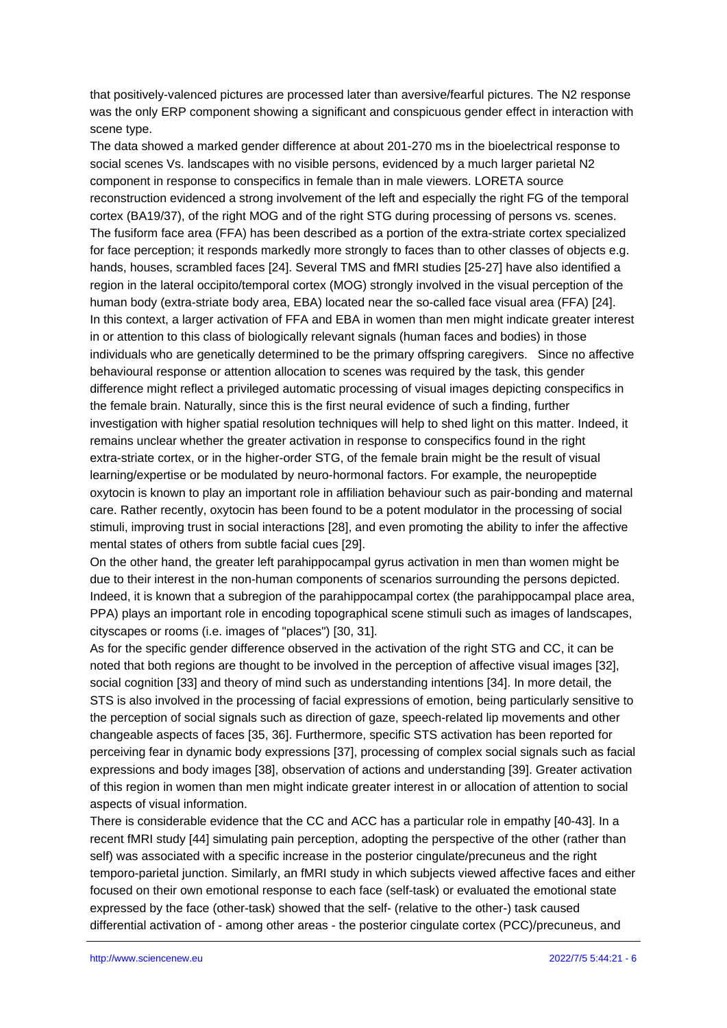that positively-valenced pictures are processed later than aversive/fearful pictures. The N2 response was the only ERP component showing a significant and conspicuous gender effect in interaction with scene type.

The data showed a marked gender difference at about 201-270 ms in the bioelectrical response to social scenes Vs. landscapes with no visible persons, evidenced by a much larger parietal N2 component in response to conspecifics in female than in male viewers. LORETA source reconstruction evidenced a strong involvement of the left and especially the right FG of the temporal cortex (BA19/37), of the right MOG and of the right STG during processing of persons vs. scenes. The fusiform face area (FFA) has been described as a portion of the extra-striate cortex specialized for face perception; it responds markedly more strongly to faces than to other classes of objects e.g. hands, houses, scrambled faces [24]. Several TMS and fMRI studies [25-27] have also identified a region in the lateral occipito/temporal cortex (MOG) strongly involved in the visual perception of the human body (extra-striate body area, EBA) located near the so-called face visual area (FFA) [24]. In this context, a larger activation of FFA and EBA in women than men might indicate greater interest in or attention to this class of biologically relevant signals (human faces and bodies) in those individuals who are genetically determined to be the primary offspring caregivers. Since no affective behavioural response or attention allocation to scenes was required by the task, this gender difference might reflect a privileged automatic processing of visual images depicting conspecifics in the female brain. Naturally, since this is the first neural evidence of such a finding, further investigation with higher spatial resolution techniques will help to shed light on this matter. Indeed, it remains unclear whether the greater activation in response to conspecifics found in the right extra-striate cortex, or in the higher-order STG, of the female brain might be the result of visual learning/expertise or be modulated by neuro-hormonal factors. For example, the neuropeptide oxytocin is known to play an important role in affiliation behaviour such as pair-bonding and maternal care. Rather recently, oxytocin has been found to be a potent modulator in the processing of social stimuli, improving trust in social interactions [28], and even promoting the ability to infer the affective mental states of others from subtle facial cues [29].

On the other hand, the greater left parahippocampal gyrus activation in men than women might be due to their interest in the non-human components of scenarios surrounding the persons depicted. Indeed, it is known that a subregion of the parahippocampal cortex (the parahippocampal place area, PPA) plays an important role in encoding topographical scene stimuli such as images of landscapes, cityscapes or rooms (i.e. images of "places") [30, 31].

As for the specific gender difference observed in the activation of the right STG and CC, it can be noted that both regions are thought to be involved in the perception of affective visual images [32], social cognition [33] and theory of mind such as understanding intentions [34]. In more detail, the STS is also involved in the processing of facial expressions of emotion, being particularly sensitive to the perception of social signals such as direction of gaze, speech-related lip movements and other changeable aspects of faces [35, 36]. Furthermore, specific STS activation has been reported for perceiving fear in dynamic body expressions [37], processing of complex social signals such as facial expressions and body images [38], observation of actions and understanding [39]. Greater activation of this region in women than men might indicate greater interest in or allocation of attention to social aspects of visual information.

There is considerable evidence that the CC and ACC has a particular role in empathy [40-43]. In a recent fMRI study [44] simulating pain perception, adopting the perspective of the other (rather than self) was associated with a specific increase in the posterior cingulate/precuneus and the right temporo-parietal junction. Similarly, an fMRI study in which subjects viewed affective faces and either focused on their own emotional response to each face (self-task) or evaluated the emotional state expressed by the face (other-task) showed that the self- (relative to the other-) task caused differential activation of - among other areas - the posterior cingulate cortex (PCC)/precuneus, and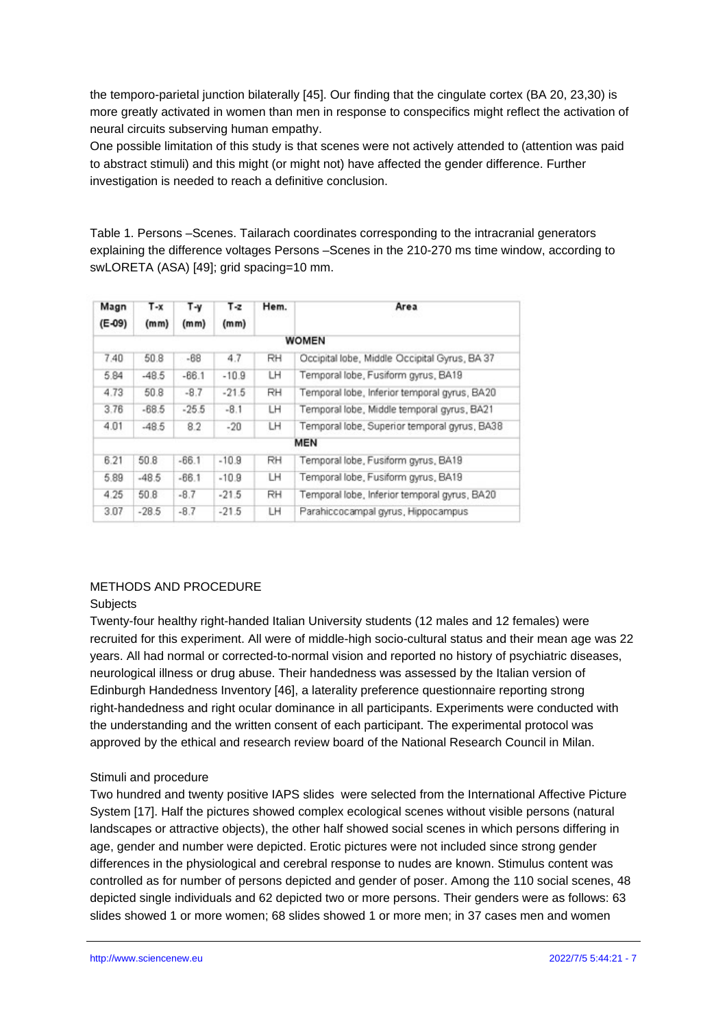the temporo-parietal junction bilaterally [45]. Our finding that the cingulate cortex (BA 20, 23,30) is more greatly activated in women than men in response to conspecifics might reflect the activation of neural circuits subserving human empathy.

One possible limitation of this study is that scenes were not actively attended to (attention was paid to abstract stimuli) and this might (or might not) have affected the gender difference. Further investigation is needed to reach a definitive conclusion.

Table 1. Persons –Scenes. Tailarach coordinates corresponding to the intracranial generators explaining the difference voltages Persons –Scenes in the 210-270 ms time window, according to swLORETA (ASA) [49]; grid spacing=10 mm.

| Magn<br>$(E-0.9)$ | $T - x$<br>(mm) | T-y<br>(mm) | T-z<br>(m <sub>m</sub> ) | Hem. | Area                                          |
|-------------------|-----------------|-------------|--------------------------|------|-----------------------------------------------|
|                   |                 |             |                          |      | <b>WOMEN</b>                                  |
| 7.40              | 50.8            | $-68$       | 4.7                      | RН   | Occipital lobe, Middle Occipital Gyrus, BA 37 |
| 5.84              | $-48.5$         | $-66.1$     | $-10.9$                  | LH   | Temporal lobe, Fusiform gyrus, BA19           |
| 4.73              | 50.8            | $-8.7$      | $-21.5$                  | RH   | Temporal lobe, Inferior temporal gyrus, BA20  |
| 3.76              | $-68.5$         | $-25.5$     | $-8.1$                   | LH   | Temporal lobe, Middle temporal gyrus, BA21    |
| 4.01              | $-48.5$         | 8.2         | $-20$                    | LH   | Temporal lobe, Superior temporal gyrus, BA38  |
|                   |                 |             |                          |      | <b>MEN</b>                                    |
| 6.21              | 50.8            | $-66.1$     | $-10.9$                  | RH   | Temporal lobe, Fusiform gyrus, BA19           |
| 5.89              | $-48.5$         | $-66.1$     | $-10.9$                  | LH   | Temporal lobe, Fusiform gyrus, BA19           |
| 4.25              | 50.8            | $-8.7$      | $-21.5$                  | RH   | Temporal lobe, Inferior temporal gyrus, BA20  |
| 3.07              | $-28.5$         | $-8.7$      | $-21.5$                  | LΗ   | Parahiccocampal gyrus, Hippocampus            |

### METHODS AND PROCEDURE

### **Subjects**

Twenty-four healthy right-handed Italian University students (12 males and 12 females) were recruited for this experiment. All were of middle-high socio-cultural status and their mean age was 22 years. All had normal or corrected-to-normal vision and reported no history of psychiatric diseases, neurological illness or drug abuse. Their handedness was assessed by the Italian version of Edinburgh Handedness Inventory [46], a laterality preference questionnaire reporting strong right-handedness and right ocular dominance in all participants. Experiments were conducted with the understanding and the written consent of each participant. The experimental protocol was approved by the ethical and research review board of the National Research Council in Milan.

### Stimuli and procedure

Two hundred and twenty positive IAPS slides were selected from the International Affective Picture System [17]. Half the pictures showed complex ecological scenes without visible persons (natural landscapes or attractive objects), the other half showed social scenes in which persons differing in age, gender and number were depicted. Erotic pictures were not included since strong gender differences in the physiological and cerebral response to nudes are known. Stimulus content was controlled as for number of persons depicted and gender of poser. Among the 110 social scenes, 48 depicted single individuals and 62 depicted two or more persons. Their genders were as follows: 63 slides showed 1 or more women; 68 slides showed 1 or more men; in 37 cases men and women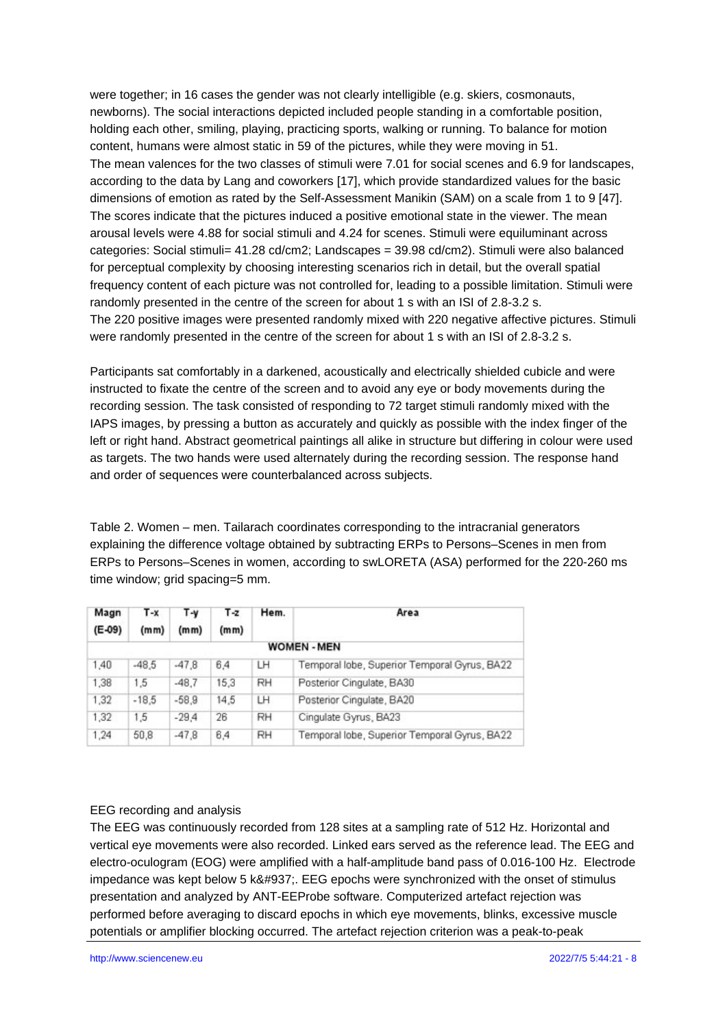were together; in 16 cases the gender was not clearly intelligible (e.g. skiers, cosmonauts, newborns). The social interactions depicted included people standing in a comfortable position, holding each other, smiling, playing, practicing sports, walking or running. To balance for motion content, humans were almost static in 59 of the pictures, while they were moving in 51. The mean valences for the two classes of stimuli were 7.01 for social scenes and 6.9 for landscapes, according to the data by Lang and coworkers [17], which provide standardized values for the basic dimensions of emotion as rated by the Self-Assessment Manikin (SAM) on a scale from 1 to 9 [47]. The scores indicate that the pictures induced a positive emotional state in the viewer. The mean arousal levels were 4.88 for social stimuli and 4.24 for scenes. Stimuli were equiluminant across categories: Social stimuli= 41.28 cd/cm2; Landscapes = 39.98 cd/cm2). Stimuli were also balanced for perceptual complexity by choosing interesting scenarios rich in detail, but the overall spatial frequency content of each picture was not controlled for, leading to a possible limitation. Stimuli were randomly presented in the centre of the screen for about 1 s with an ISI of 2.8-3.2 s. The 220 positive images were presented randomly mixed with 220 negative affective pictures. Stimuli were randomly presented in the centre of the screen for about 1 s with an ISI of 2.8-3.2 s.

Participants sat comfortably in a darkened, acoustically and electrically shielded cubicle and were instructed to fixate the centre of the screen and to avoid any eye or body movements during the recording session. The task consisted of responding to 72 target stimuli randomly mixed with the IAPS images, by pressing a button as accurately and quickly as possible with the index finger of the left or right hand. Abstract geometrical paintings all alike in structure but differing in colour were used as targets. The two hands were used alternately during the recording session. The response hand and order of sequences were counterbalanced across subjects.

Table 2. Women – men. Tailarach coordinates corresponding to the intracranial generators explaining the difference voltage obtained by subtracting ERPs to Persons–Scenes in men from ERPs to Persons–Scenes in women, according to swLORETA (ASA) performed for the 220-260 ms time window; grid spacing=5 mm.

| Magn<br>$(E-09)$ | Т-х<br>(mm) | T-v<br>(m <sub>m</sub> ) | T-z<br>(m <sub>m</sub> ) | Hem. | Area                                         |
|------------------|-------------|--------------------------|--------------------------|------|----------------------------------------------|
|                  |             |                          |                          |      | <b>WOMEN - MEN</b>                           |
| 1,40             | $-48.5$     | $-47.8$                  | 6.4                      | LH   | Temporal lobe, Superior Temporal Gyrus, BA22 |
| 1,38             | 1.5         | $-48.7$                  | 15.3                     | RH   | Posterior Cingulate, BA30                    |
| 1,32             | $-18.5$     | $-58.9$                  | 14,5                     | LH   | Posterior Cingulate, BA20                    |
| 1,32             | 1,5         | $-29.4$                  | 26                       | RH   | Cinqulate Gyrus, BA23                        |
| 1.24             | 50.8        | $-47.8$                  | 6.4                      | RH   | Temporal lobe, Superior Temporal Gyrus, BA22 |

## EEG recording and analysis

The EEG was continuously recorded from 128 sites at a sampling rate of 512 Hz. Horizontal and vertical eye movements were also recorded. Linked ears served as the reference lead. The EEG and electro-oculogram (EOG) were amplified with a half-amplitude band pass of 0.016-100 Hz. Electrode impedance was kept below 5 kΩ. EEG epochs were synchronized with the onset of stimulus presentation and analyzed by ANT-EEProbe software. Computerized artefact rejection was performed before averaging to discard epochs in which eye movements, blinks, excessive muscle potentials or amplifier blocking occurred. The artefact rejection criterion was a peak-to-peak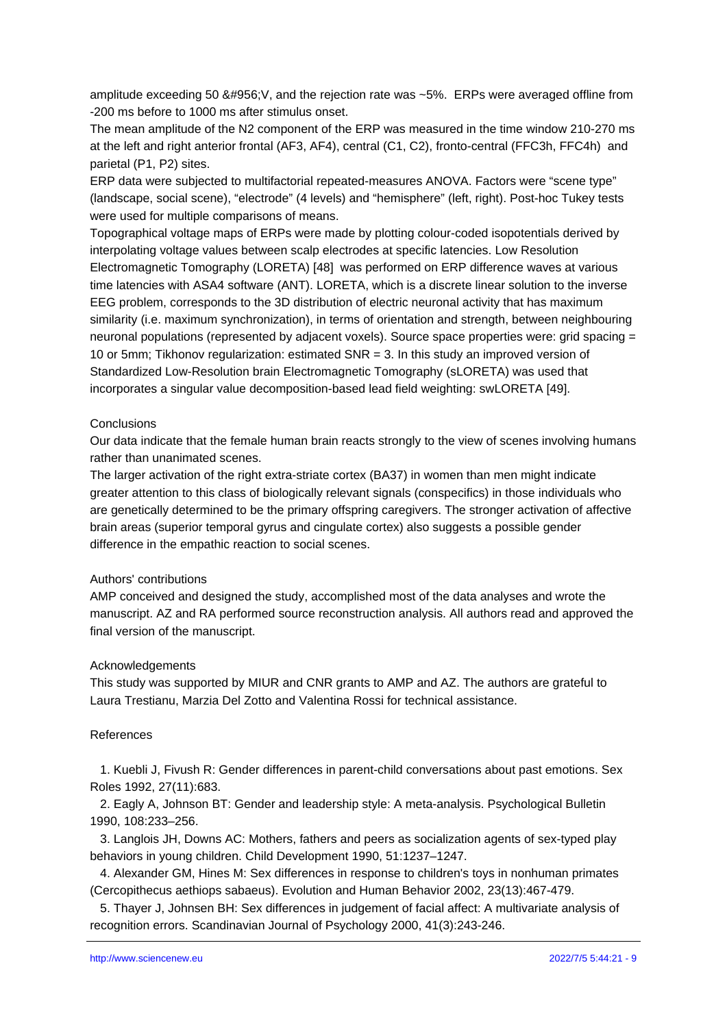amplitude exceeding 50 μ V, and the rejection rate was ~5%. ERPs were averaged offline from -200 ms before to 1000 ms after stimulus onset.

The mean amplitude of the N2 component of the ERP was measured in the time window 210-270 ms at the left and right anterior frontal (AF3, AF4), central (C1, C2), fronto-central (FFC3h, FFC4h) and parietal (P1, P2) sites.

ERP data were subjected to multifactorial repeated-measures ANOVA. Factors were "scene type" (landscape, social scene), "electrode" (4 levels) and "hemisphere" (left, right). Post-hoc Tukey tests were used for multiple comparisons of means.

Topographical voltage maps of ERPs were made by plotting colour-coded isopotentials derived by interpolating voltage values between scalp electrodes at specific latencies. Low Resolution Electromagnetic Tomography (LORETA) [48] was performed on ERP difference waves at various time latencies with ASA4 software (ANT). LORETA, which is a discrete linear solution to the inverse EEG problem, corresponds to the 3D distribution of electric neuronal activity that has maximum similarity (i.e. maximum synchronization), in terms of orientation and strength, between neighbouring neuronal populations (represented by adjacent voxels). Source space properties were: grid spacing = 10 or 5mm; Tikhonov regularization: estimated SNR = 3. In this study an improved version of Standardized Low-Resolution brain Electromagnetic Tomography (sLORETA) was used that incorporates a singular value decomposition-based lead field weighting: swLORETA [49].

#### **Conclusions**

Our data indicate that the female human brain reacts strongly to the view of scenes involving humans rather than unanimated scenes.

The larger activation of the right extra-striate cortex (BA37) in women than men might indicate greater attention to this class of biologically relevant signals (conspecifics) in those individuals who are genetically determined to be the primary offspring caregivers. The stronger activation of affective brain areas (superior temporal gyrus and cingulate cortex) also suggests a possible gender difference in the empathic reaction to social scenes.

#### Authors' contributions

AMP conceived and designed the study, accomplished most of the data analyses and wrote the manuscript. AZ and RA performed source reconstruction analysis. All authors read and approved the final version of the manuscript.

#### Acknowledgements

This study was supported by MIUR and CNR grants to AMP and AZ. The authors are grateful to Laura Trestianu, Marzia Del Zotto and Valentina Rossi for technical assistance.

#### References

 1. Kuebli J, Fivush R: Gender differences in parent-child conversations about past emotions. Sex Roles 1992, 27(11):683.

 2. Eagly A, Johnson BT: Gender and leadership style: A meta-analysis. Psychological Bulletin 1990, 108:233–256.

 3. Langlois JH, Downs AC: Mothers, fathers and peers as socialization agents of sex-typed play behaviors in young children. Child Development 1990, 51:1237–1247.

 4. Alexander GM, Hines M: Sex differences in response to children's toys in nonhuman primates (Cercopithecus aethiops sabaeus). Evolution and Human Behavior 2002, 23(13):467-479.

 5. Thayer J, Johnsen BH: Sex differences in judgement of facial affect: A multivariate analysis of recognition errors. Scandinavian Journal of Psychology 2000, 41(3):243-246.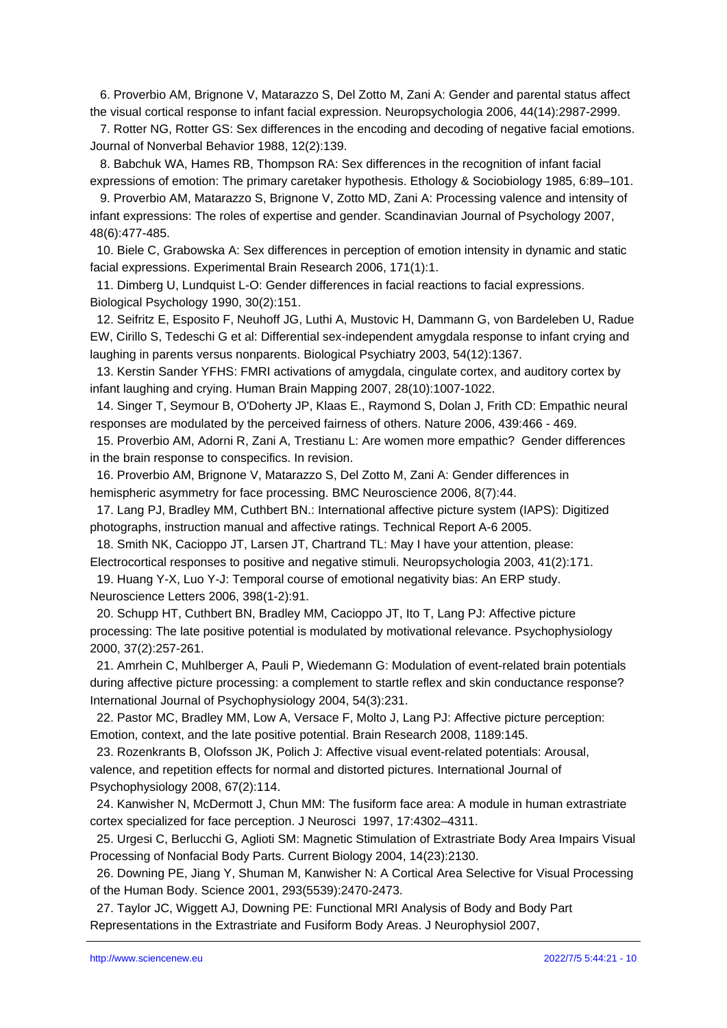6. Proverbio AM, Brignone V, Matarazzo S, Del Zotto M, Zani A: Gender and parental status affect the visual cortical response to infant facial expression. Neuropsychologia 2006, 44(14):2987-2999.

 7. Rotter NG, Rotter GS: Sex differences in the encoding and decoding of negative facial emotions. Journal of Nonverbal Behavior 1988, 12(2):139.

 8. Babchuk WA, Hames RB, Thompson RA: Sex differences in the recognition of infant facial expressions of emotion: The primary caretaker hypothesis. Ethology & Sociobiology 1985, 6:89–101.

 9. Proverbio AM, Matarazzo S, Brignone V, Zotto MD, Zani A: Processing valence and intensity of infant expressions: The roles of expertise and gender. Scandinavian Journal of Psychology 2007, 48(6):477-485.

 10. Biele C, Grabowska A: Sex differences in perception of emotion intensity in dynamic and static facial expressions. Experimental Brain Research 2006, 171(1):1.

 11. Dimberg U, Lundquist L-O: Gender differences in facial reactions to facial expressions. Biological Psychology 1990, 30(2):151.

 12. Seifritz E, Esposito F, Neuhoff JG, Luthi A, Mustovic H, Dammann G, von Bardeleben U, Radue EW, Cirillo S, Tedeschi G et al: Differential sex-independent amygdala response to infant crying and laughing in parents versus nonparents. Biological Psychiatry 2003, 54(12):1367.

 13. Kerstin Sander YFHS: FMRI activations of amygdala, cingulate cortex, and auditory cortex by infant laughing and crying. Human Brain Mapping 2007, 28(10):1007-1022.

 14. Singer T, Seymour B, O'Doherty JP, Klaas E., Raymond S, Dolan J, Frith CD: Empathic neural responses are modulated by the perceived fairness of others. Nature 2006, 439:466 - 469.

 15. Proverbio AM, Adorni R, Zani A, Trestianu L: Are women more empathic? Gender differences in the brain response to conspecifics. In revision.

 16. Proverbio AM, Brignone V, Matarazzo S, Del Zotto M, Zani A: Gender differences in hemispheric asymmetry for face processing. BMC Neuroscience 2006, 8(7):44.

 17. Lang PJ, Bradley MM, Cuthbert BN.: International affective picture system (IAPS): Digitized photographs, instruction manual and affective ratings. Technical Report A-6 2005.

 18. Smith NK, Cacioppo JT, Larsen JT, Chartrand TL: May I have your attention, please: Electrocortical responses to positive and negative stimuli. Neuropsychologia 2003, 41(2):171.

 19. Huang Y-X, Luo Y-J: Temporal course of emotional negativity bias: An ERP study. Neuroscience Letters 2006, 398(1-2):91.

 20. Schupp HT, Cuthbert BN, Bradley MM, Cacioppo JT, Ito T, Lang PJ: Affective picture processing: The late positive potential is modulated by motivational relevance. Psychophysiology 2000, 37(2):257-261.

 21. Amrhein C, Muhlberger A, Pauli P, Wiedemann G: Modulation of event-related brain potentials during affective picture processing: a complement to startle reflex and skin conductance response? International Journal of Psychophysiology 2004, 54(3):231.

 22. Pastor MC, Bradley MM, Low A, Versace F, Molto J, Lang PJ: Affective picture perception: Emotion, context, and the late positive potential. Brain Research 2008, 1189:145.

 23. Rozenkrants B, Olofsson JK, Polich J: Affective visual event-related potentials: Arousal, valence, and repetition effects for normal and distorted pictures. International Journal of Psychophysiology 2008, 67(2):114.

 24. Kanwisher N, McDermott J, Chun MM: The fusiform face area: A module in human extrastriate cortex specialized for face perception. J Neurosci 1997, 17:4302–4311.

 25. Urgesi C, Berlucchi G, Aglioti SM: Magnetic Stimulation of Extrastriate Body Area Impairs Visual Processing of Nonfacial Body Parts. Current Biology 2004, 14(23):2130.

 26. Downing PE, Jiang Y, Shuman M, Kanwisher N: A Cortical Area Selective for Visual Processing of the Human Body. Science 2001, 293(5539):2470-2473.

 27. Taylor JC, Wiggett AJ, Downing PE: Functional MRI Analysis of Body and Body Part Representations in the Extrastriate and Fusiform Body Areas. J Neurophysiol 2007,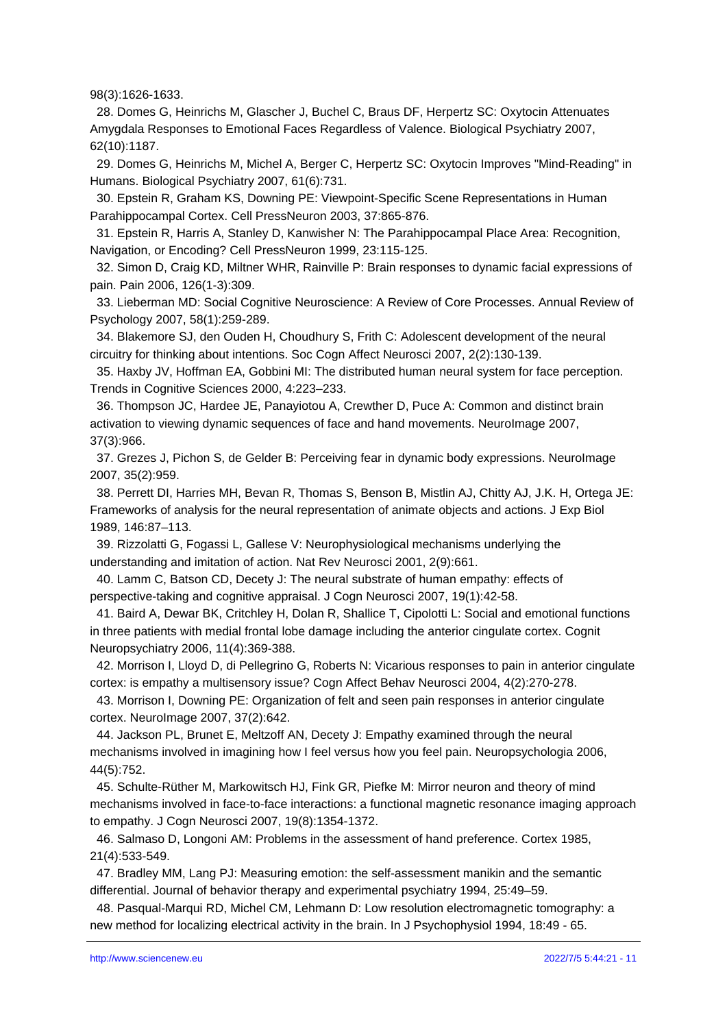98(3):1626-1633.

 28. Domes G, Heinrichs M, Glascher J, Buchel C, Braus DF, Herpertz SC: Oxytocin Attenuates Amygdala Responses to Emotional Faces Regardless of Valence. Biological Psychiatry 2007, 62(10):1187.

 29. Domes G, Heinrichs M, Michel A, Berger C, Herpertz SC: Oxytocin Improves "Mind-Reading" in Humans. Biological Psychiatry 2007, 61(6):731.

 30. Epstein R, Graham KS, Downing PE: Viewpoint-Specific Scene Representations in Human Parahippocampal Cortex. Cell PressNeuron 2003, 37:865-876.

 31. Epstein R, Harris A, Stanley D, Kanwisher N: The Parahippocampal Place Area: Recognition, Navigation, or Encoding? Cell PressNeuron 1999, 23:115-125.

 32. Simon D, Craig KD, Miltner WHR, Rainville P: Brain responses to dynamic facial expressions of pain. Pain 2006, 126(1-3):309.

 33. Lieberman MD: Social Cognitive Neuroscience: A Review of Core Processes. Annual Review of Psychology 2007, 58(1):259-289.

 34. Blakemore SJ, den Ouden H, Choudhury S, Frith C: Adolescent development of the neural circuitry for thinking about intentions. Soc Cogn Affect Neurosci 2007, 2(2):130-139.

 35. Haxby JV, Hoffman EA, Gobbini MI: The distributed human neural system for face perception. Trends in Cognitive Sciences 2000, 4:223–233.

 36. Thompson JC, Hardee JE, Panayiotou A, Crewther D, Puce A: Common and distinct brain activation to viewing dynamic sequences of face and hand movements. NeuroImage 2007, 37(3):966.

37. Grezes J, Pichon S, de Gelder B: Perceiving fear in dynamic body expressions. NeuroImage 2007, 35(2):959.

 38. Perrett DI, Harries MH, Bevan R, Thomas S, Benson B, Mistlin AJ, Chitty AJ, J.K. H, Ortega JE: Frameworks of analysis for the neural representation of animate objects and actions. J Exp Biol 1989, 146:87–113.

 39. Rizzolatti G, Fogassi L, Gallese V: Neurophysiological mechanisms underlying the understanding and imitation of action. Nat Rev Neurosci 2001, 2(9):661.

 40. Lamm C, Batson CD, Decety J: The neural substrate of human empathy: effects of perspective-taking and cognitive appraisal. J Cogn Neurosci 2007, 19(1):42-58.

 41. Baird A, Dewar BK, Critchley H, Dolan R, Shallice T, Cipolotti L: Social and emotional functions in three patients with medial frontal lobe damage including the anterior cingulate cortex. Cognit Neuropsychiatry 2006, 11(4):369-388.

 42. Morrison I, Lloyd D, di Pellegrino G, Roberts N: Vicarious responses to pain in anterior cingulate cortex: is empathy a multisensory issue? Cogn Affect Behav Neurosci 2004, 4(2):270-278.

 43. Morrison I, Downing PE: Organization of felt and seen pain responses in anterior cingulate cortex. NeuroImage 2007, 37(2):642.

 44. Jackson PL, Brunet E, Meltzoff AN, Decety J: Empathy examined through the neural mechanisms involved in imagining how I feel versus how you feel pain. Neuropsychologia 2006, 44(5):752.

 45. Schulte-Rüther M, Markowitsch HJ, Fink GR, Piefke M: Mirror neuron and theory of mind mechanisms involved in face-to-face interactions: a functional magnetic resonance imaging approach to empathy. J Cogn Neurosci 2007, 19(8):1354-1372.

 46. Salmaso D, Longoni AM: Problems in the assessment of hand preference. Cortex 1985, 21(4):533-549.

 47. Bradley MM, Lang PJ: Measuring emotion: the self-assessment manikin and the semantic differential. Journal of behavior therapy and experimental psychiatry 1994, 25:49–59.

 48. Pasqual-Marqui RD, Michel CM, Lehmann D: Low resolution electromagnetic tomography: a new method for localizing electrical activity in the brain. In J Psychophysiol 1994, 18:49 - 65.